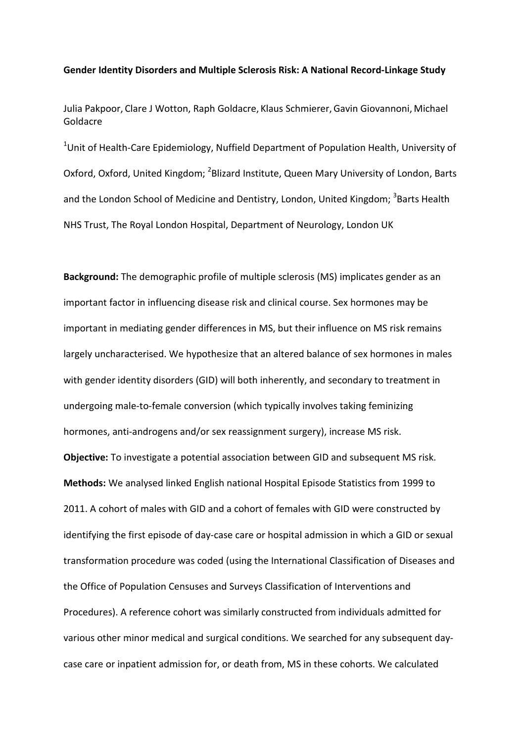## **Gender Identity Disorders and Multiple Sclerosis Risk: A National Record-Linkage Study**

Julia Pakpoor, Clare J Wotton, Raph Goldacre, Klaus Schmierer,Gavin Giovannoni, Michael Goldacre

<sup>1</sup>Unit of Health-Care Epidemiology, Nuffield Department of Population Health, University of Oxford, Oxford, United Kingdom; <sup>2</sup>Blizard Institute, Queen Mary University of London, Barts and the London School of Medicine and Dentistry, London, United Kingdom; <sup>3</sup>Barts Health NHS Trust, The Royal London Hospital, Department of Neurology, London UK

**Background:** The demographic profile of multiple sclerosis (MS) implicates gender as an important factor in influencing disease risk and clinical course. Sex hormones may be important in mediating gender differences in MS, but their influence on MS risk remains largely uncharacterised. We hypothesize that an altered balance of sex hormones in males with gender identity disorders (GID) will both inherently, and secondary to treatment in undergoing male-to-female conversion (which typically involves taking feminizing hormones, anti-androgens and/or sex reassignment surgery), increase MS risk. **Objective:** To investigate a potential association between GID and subsequent MS risk. **Methods:** We analysed linked English national Hospital Episode Statistics from 1999 to 2011. A cohort of males with GID and a cohort of females with GID were constructed by identifying the first episode of day-case care or hospital admission in which a GID or sexual transformation procedure was coded (using the International Classification of Diseases and the Office of Population Censuses and Surveys Classification of Interventions and Procedures). A reference cohort was similarly constructed from individuals admitted for various other minor medical and surgical conditions. We searched for any subsequent daycase care or inpatient admission for, or death from, MS in these cohorts. We calculated